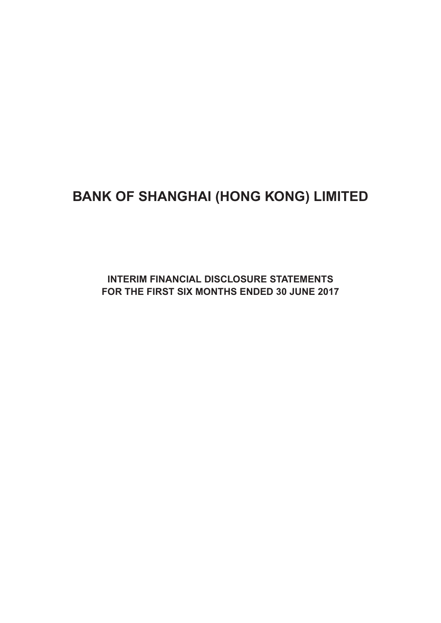# **BANK OF SHANGHAI (HONG KONG) LIMITED**

**INTERIM FINANCIAL DISCLOSURE STATEMENTS FOR THE FIRST SIX MONTHS ENDED 30 JUNE 2017**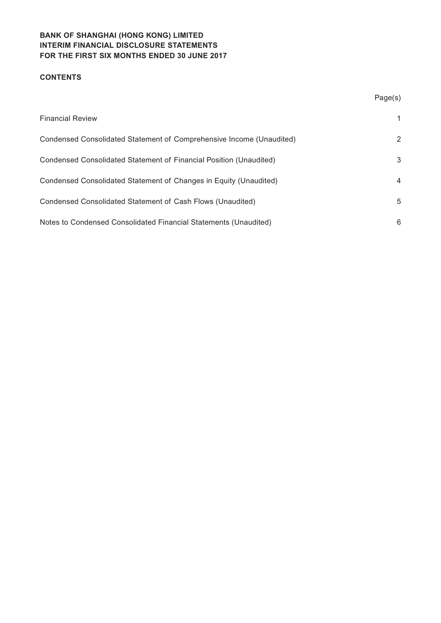## **CONTENTS**

|                                                                      | Page(s) |
|----------------------------------------------------------------------|---------|
| <b>Financial Review</b>                                              | 1       |
| Condensed Consolidated Statement of Comprehensive Income (Unaudited) | 2       |
| Condensed Consolidated Statement of Financial Position (Unaudited)   | 3       |
| Condensed Consolidated Statement of Changes in Equity (Unaudited)    | 4       |
| Condensed Consolidated Statement of Cash Flows (Unaudited)           | 5       |
| Notes to Condensed Consolidated Financial Statements (Unaudited)     | 6       |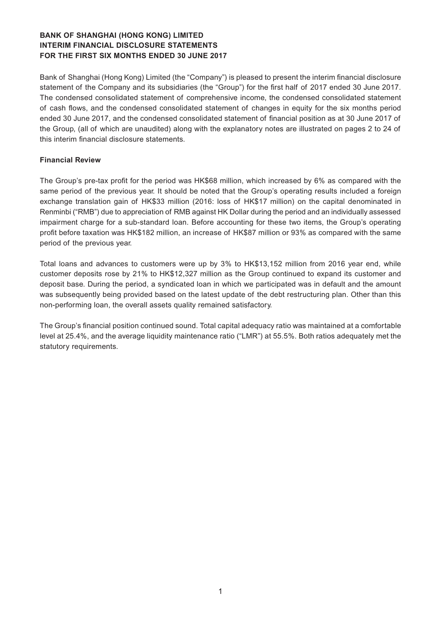Bank of Shanghai (Hong Kong) Limited (the "Company") is pleased to present the interim financial disclosure statement of the Company and its subsidiaries (the "Group") for the first half of 2017 ended 30 June 2017. The condensed consolidated statement of comprehensive income, the condensed consolidated statement of cash flows, and the condensed consolidated statement of changes in equity for the six months period ended 30 June 2017, and the condensed consolidated statement of financial position as at 30 June 2017 of the Group, (all of which are unaudited) along with the explanatory notes are illustrated on pages 2 to 24 of this interim financial disclosure statements.

## **Financial Review**

The Group's pre-tax profit for the period was HK\$68 million, which increased by 6% as compared with the same period of the previous year. It should be noted that the Group's operating results included a foreign exchange translation gain of HK\$33 million (2016: loss of HK\$17 million) on the capital denominated in Renminbi ("RMB") due to appreciation of RMB against HK Dollar during the period and an individually assessed impairment charge for a sub-standard loan. Before accounting for these two items, the Group's operating profit before taxation was HK\$182 million, an increase of HK\$87 million or 93% as compared with the same period of the previous year.

Total loans and advances to customers were up by 3% to HK\$13,152 million from 2016 year end, while customer deposits rose by 21% to HK\$12,327 million as the Group continued to expand its customer and deposit base. During the period, a syndicated loan in which we participated was in default and the amount was subsequently being provided based on the latest update of the debt restructuring plan. Other than this non-performing loan, the overall assets quality remained satisfactory.

The Group's financial position continued sound. Total capital adequacy ratio was maintained at a comfortable level at 25.4%, and the average liquidity maintenance ratio ("LMR") at 55.5%. Both ratios adequately met the statutory requirements.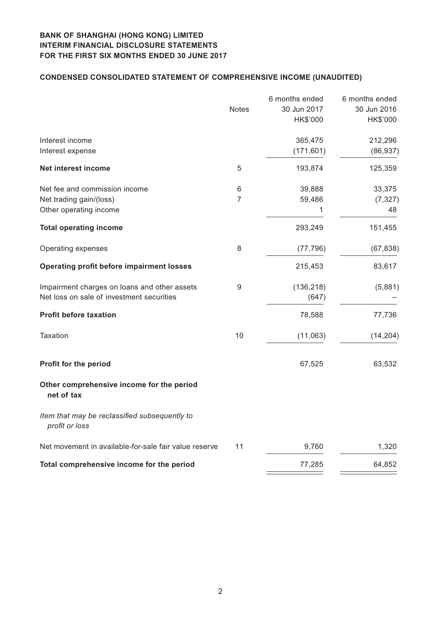# **Condensed CONSOLIDATED STATEMENT OF COMPREHENSIVE INCOME (unaudited)**

|                                                                                           |                  | 6 months ended          | 6 months ended          |
|-------------------------------------------------------------------------------------------|------------------|-------------------------|-------------------------|
|                                                                                           | <b>Notes</b>     | 30 Jun 2017<br>HK\$'000 | 30 Jun 2016<br>HK\$'000 |
| Interest income                                                                           |                  | 365,475                 | 212,296                 |
| Interest expense                                                                          |                  | (171, 601)              | (86, 937)               |
| <b>Net interest income</b>                                                                | 5                | 193,874                 | 125,359                 |
| Net fee and commission income                                                             | 6                | 39,888                  | 33,375                  |
| Net trading gain/(loss)<br>Other operating income                                         | $\overline{7}$   | 59,486<br>1             | (7, 327)<br>48          |
| <b>Total operating income</b>                                                             |                  | 293,249                 | 151,455                 |
| Operating expenses                                                                        | 8                | (77, 796)               | (67, 838)               |
| <b>Operating profit before impairment losses</b>                                          |                  | 215,453                 | 83,617                  |
| Impairment charges on loans and other assets<br>Net loss on sale of investment securities | $\boldsymbol{9}$ | (136, 218)<br>(647)     | (5,881)                 |
| <b>Profit before taxation</b>                                                             |                  | 78,588                  | 77,736                  |
| <b>Taxation</b>                                                                           | 10               | (11,063)                | (14, 204)               |
| Profit for the period                                                                     |                  | 67,525                  | 63,532                  |
| Other comprehensive income for the period<br>net of tax                                   |                  |                         |                         |
| Item that may be reclassified subsequently to<br>profit or loss                           |                  |                         |                         |
| Net movement in available-for-sale fair value reserve                                     | 11               | 9,760                   | 1,320                   |
| Total comprehensive income for the period                                                 |                  | 77,285                  | 64,852                  |
|                                                                                           |                  |                         |                         |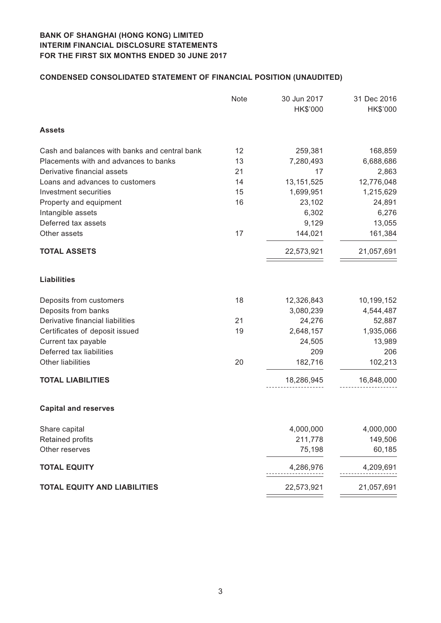# **Condensed CONSOLIDATED STATEMENT OF FINANCIAL POSITION (unaudited)**

|                                               | Note | 30 Jun 2017<br>HK\$'000 | 31 Dec 2016<br>HK\$'000 |
|-----------------------------------------------|------|-------------------------|-------------------------|
| <b>Assets</b>                                 |      |                         |                         |
| Cash and balances with banks and central bank | 12   | 259,381                 | 168,859                 |
| Placements with and advances to banks         | 13   | 7,280,493               | 6,688,686               |
| Derivative financial assets                   | 21   | 17                      | 2,863                   |
| Loans and advances to customers               | 14   | 13, 151, 525            | 12,776,048              |
| Investment securities                         | 15   | 1,699,951               | 1,215,629               |
| Property and equipment                        | 16   | 23,102                  | 24,891                  |
| Intangible assets                             |      | 6,302                   | 6,276                   |
| Deferred tax assets                           |      | 9,129                   | 13,055                  |
| Other assets                                  | 17   | 144,021                 | 161,384                 |
| <b>TOTAL ASSETS</b>                           |      | 22,573,921              | 21,057,691              |
| <b>Liabilities</b>                            |      |                         |                         |
| Deposits from customers                       | 18   | 12,326,843              | 10,199,152              |
| Deposits from banks                           |      | 3,080,239               | 4,544,487               |
| Derivative financial liabilities              | 21   | 24,276                  | 52,887                  |
| Certificates of deposit issued                | 19   | 2,648,157               | 1,935,066               |
| Current tax payable                           |      | 24,505                  | 13,989                  |
| Deferred tax liabilities                      |      | 209                     | 206                     |
| Other liabilities                             | 20   | 182,716                 | 102,213                 |
| <b>TOTAL LIABILITIES</b>                      |      | 18,286,945              | 16,848,000              |
| <b>Capital and reserves</b>                   |      |                         |                         |
| Share capital                                 |      | 4,000,000               | 4,000,000               |
| Retained profits                              |      | 211,778                 | 149,506                 |
| Other reserves                                |      | 75,198                  | 60,185                  |
| <b>TOTAL EQUITY</b>                           |      | 4,286,976               | 4,209,691               |
| <b>TOTAL EQUITY AND LIABILITIES</b>           |      | 22,573,921              | 21,057,691              |
|                                               |      |                         |                         |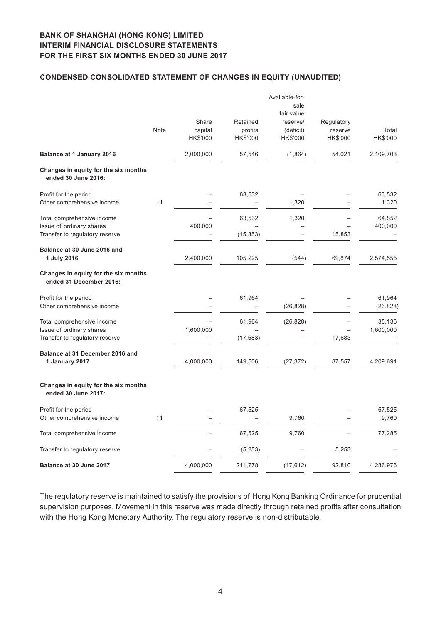## **Condensed CONSOLIDATED STATEMENT OF CHANGES IN EQUITY (unaudited)**

|                                                                 |      |           |                          | Available-for-<br>sale |            |           |
|-----------------------------------------------------------------|------|-----------|--------------------------|------------------------|------------|-----------|
|                                                                 |      |           |                          | fair value             |            |           |
|                                                                 |      | Share     | Retained                 | reserve/               | Regulatory |           |
|                                                                 | Note | capital   | profits                  | (deficit)              | reserve    | Total     |
|                                                                 |      | HK\$'000  | HK\$'000                 | HK\$'000               | HK\$'000   | HK\$'000  |
| <b>Balance at 1 January 2016</b>                                |      | 2,000,000 | 57,546                   | (1,864)                | 54,021     | 2,109,703 |
| Changes in equity for the six months<br>ended 30 June 2016:     |      |           |                          |                        |            |           |
| Profit for the period                                           |      |           | 63,532                   |                        |            | 63,532    |
| Other comprehensive income                                      | 11   |           |                          | 1,320                  |            | 1,320     |
| Total comprehensive income                                      |      |           | 63,532                   | 1,320                  |            | 64,852    |
| Issue of ordinary shares                                        |      | 400,000   | $\overline{\phantom{0}}$ |                        |            | 400,000   |
| Transfer to regulatory reserve                                  |      |           | (15, 853)                |                        | 15,853     |           |
| Balance at 30 June 2016 and                                     |      |           |                          |                        |            |           |
| 1 July 2016                                                     |      | 2,400,000 | 105,225                  | (544)                  | 69,874     | 2,574,555 |
| Changes in equity for the six months<br>ended 31 December 2016: |      |           |                          |                        |            |           |
| Profit for the period                                           |      |           | 61,964                   |                        |            | 61,964    |
| Other comprehensive income                                      |      |           |                          | (26, 828)              |            | (26, 828) |
| Total comprehensive income                                      |      |           | 61,964                   | (26, 828)              |            | 35,136    |
| Issue of ordinary shares                                        |      | 1,600,000 |                          |                        |            | 1,600,000 |
| Transfer to regulatory reserve                                  |      |           | (17, 683)                |                        | 17,683     |           |
| Balance at 31 December 2016 and                                 |      |           |                          |                        |            |           |
| 1 January 2017                                                  |      | 4,000,000 | 149,506                  | (27, 372)              | 87,557     | 4,209,691 |
| Changes in equity for the six months<br>ended 30 June 2017:     |      |           |                          |                        |            |           |
| Profit for the period                                           |      |           | 67,525                   |                        |            | 67,525    |
| Other comprehensive income                                      | 11   |           |                          | 9,760                  |            | 9,760     |
| Total comprehensive income                                      |      |           | 67,525                   | 9,760                  |            | 77,285    |
| Transfer to regulatory reserve                                  |      |           | (5, 253)                 |                        | 5,253      |           |
| Balance at 30 June 2017                                         |      | 4,000,000 | 211,778                  | (17, 612)              | 92,810     | 4,286,976 |

The regulatory reserve is maintained to satisfy the provisions of Hong Kong Banking Ordinance for prudential supervision purposes. Movement in this reserve was made directly through retained profits after consultation with the Hong Kong Monetary Authority. The regulatory reserve is non-distributable.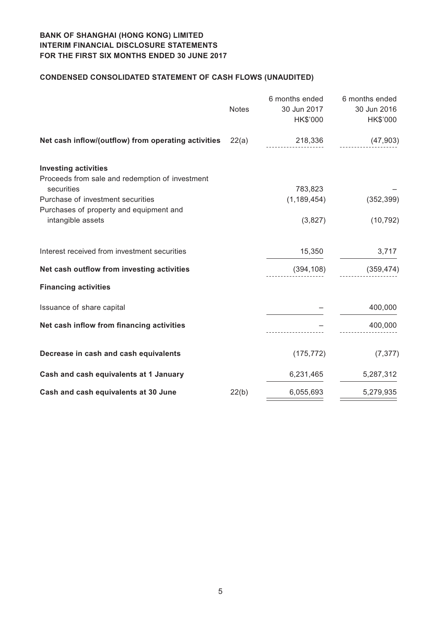# **Condensed CONSOLIDATED STATEMENT OF CASH FLOWS (unaudited)**

|                                                              | <b>Notes</b> | 6 months ended<br>30 Jun 2017<br>HK\$'000 | 6 months ended<br>30 Jun 2016<br>HK\$'000 |
|--------------------------------------------------------------|--------------|-------------------------------------------|-------------------------------------------|
| Net cash inflow/(outflow) from operating activities          | 22(a)        | 218,336                                   | (47, 903)                                 |
| <b>Investing activities</b>                                  |              |                                           |                                           |
| Proceeds from sale and redemption of investment              |              |                                           |                                           |
| securities                                                   |              | 783,823                                   |                                           |
| Purchase of investment securities                            |              | (1, 189, 454)                             | (352, 399)                                |
| Purchases of property and equipment and<br>intangible assets |              | (3,827)                                   | (10, 792)                                 |
| Interest received from investment securities                 |              | 15,350                                    | 3,717                                     |
| Net cash outflow from investing activities                   |              | (394, 108)                                | (359, 474)                                |
| <b>Financing activities</b>                                  |              |                                           |                                           |
| Issuance of share capital                                    |              |                                           | 400,000                                   |
| Net cash inflow from financing activities                    |              |                                           | 400,000                                   |
| Decrease in cash and cash equivalents                        |              | (175, 772)                                | (7, 377)                                  |
| Cash and cash equivalents at 1 January                       |              | 6,231,465                                 | 5,287,312                                 |
| Cash and cash equivalents at 30 June                         | 22(b)        | 6,055,693                                 | 5,279,935                                 |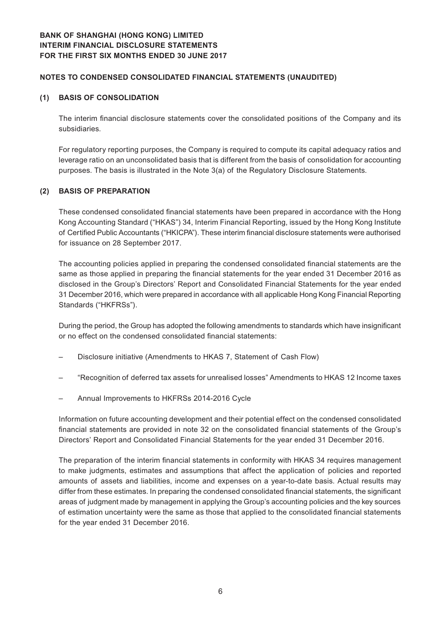## **Notes to Condensed Consolidated Financial Statements (Unaudited)**

## **(1) BASIS OF CONSOLIDATION**

The interim financial disclosure statements cover the consolidated positions of the Company and its subsidiaries.

For regulatory reporting purposes, the Company is required to compute its capital adequacy ratios and leverage ratio on an unconsolidated basis that is different from the basis of consolidation for accounting purposes. The basis is illustrated in the Note 3(a) of the Regulatory Disclosure Statements.

## **(2) BASIS OF PREPARATION**

These condensed consolidated financial statements have been prepared in accordance with the Hong Kong Accounting Standard ("HKAS") 34, Interim Financial Reporting, issued by the Hong Kong Institute of Certified Public Accountants ("HKICPA"). These interim financial disclosure statements were authorised for issuance on 28 September 2017.

The accounting policies applied in preparing the condensed consolidated financial statements are the same as those applied in preparing the financial statements for the year ended 31 December 2016 as disclosed in the Group's Directors' Report and Consolidated Financial Statements for the year ended 31 December 2016, which were prepared in accordance with all applicable Hong Kong Financial Reporting Standards ("HKFRSs").

During the period, the Group has adopted the following amendments to standards which have insignificant or no effect on the condensed consolidated financial statements:

- Disclosure initiative (Amendments to HKAS 7, Statement of Cash Flow)
- "Recognition of deferred tax assets for unrealised losses" Amendments to HKAS 12 Income taxes
- Annual Improvements to HKFRSs 2014-2016 Cycle

Information on future accounting development and their potential effect on the condensed consolidated financial statements are provided in note 32 on the consolidated financial statements of the Group's Directors' Report and Consolidated Financial Statements for the year ended 31 December 2016.

The preparation of the interim financial statements in conformity with HKAS 34 requires management to make judgments, estimates and assumptions that affect the application of policies and reported amounts of assets and liabilities, income and expenses on a year-to-date basis. Actual results may differ from these estimates. In preparing the condensed consolidated financial statements, the significant areas of judgment made by management in applying the Group's accounting policies and the key sources of estimation uncertainty were the same as those that applied to the consolidated financial statements for the year ended 31 December 2016.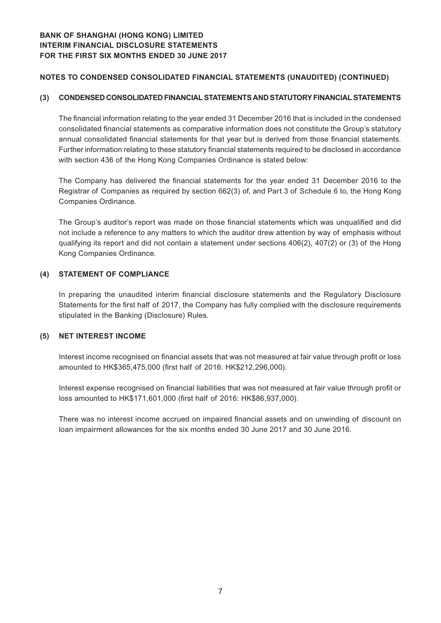## **Notes to Condensed Consolidated Financial Statements (Unaudited) (CONTINUED)**

## **(3) CONDENSED CONSOLIDATED FINANCIAL STATEMENTS AND STATUTORY FINANCIAL STATEMENTS**

The financial information relating to the year ended 31 December 2016 that is included in the condensed consolidated financial statements as comparative information does not constitute the Group's statutory annual consolidated financial statements for that year but is derived from those financial statements. Further information relating to these statutory financial statements required to be disclosed in accordance with section 436 of the Hong Kong Companies Ordinance is stated below:

The Company has delivered the financial statements for the year ended 31 December 2016 to the Registrar of Companies as required by section 662(3) of, and Part 3 of Schedule 6 to, the Hong Kong Companies Ordinance.

The Group's auditor's report was made on those financial statements which was unqualified and did not include a reference to any matters to which the auditor drew attention by way of emphasis without qualifying its report and did not contain a statement under sections 406(2), 407(2) or (3) of the Hong Kong Companies Ordinance.

## **(4) STATEMENT OF COMPLIANCE**

In preparing the unaudited interim financial disclosure statements and the Regulatory Disclosure Statements for the first half of 2017, the Company has fully complied with the disclosure requirements stipulated in the Banking (Disclosure) Rules.

## **(5) NET INTEREST INCOME**

Interest income recognised on financial assets that was not measured at fair value through profit or loss amounted to HK\$365,475,000 (first half of 2016: HK\$212,296,000).

Interest expense recognised on financial liabilities that was not measured at fair value through profit or loss amounted to HK\$171,601,000 (first half of 2016: HK\$86,937,000).

There was no interest income accrued on impaired financial assets and on unwinding of discount on loan impairment allowances for the six months ended 30 June 2017 and 30 June 2016.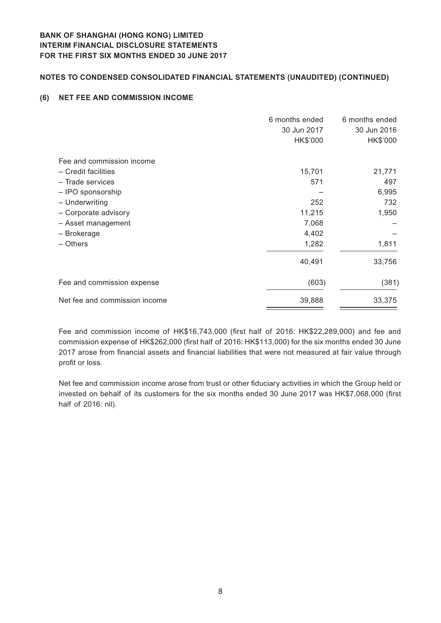## **Notes to Condensed Consolidated Financial Statements (Unaudited) (CONTINUED)**

## **(6) NET FEE AND COMMISSION INCOME**

| 6 months ended<br>30 Jun 2017<br>HK\$'000 | 6 months ended<br>30 Jun 2016<br>HK\$'000 |
|-------------------------------------------|-------------------------------------------|
|                                           |                                           |
| 15,701                                    | 21,771                                    |
| 571                                       | 497                                       |
|                                           | 6,995                                     |
| 252                                       | 732                                       |
| 11,215                                    | 1,950                                     |
| 7,068                                     |                                           |
| 4,402                                     |                                           |
| 1,282                                     | 1,811                                     |
| 40,491                                    | 33,756                                    |
| (603)                                     | (381)                                     |
| 39,888                                    | 33,375                                    |
|                                           |                                           |

Fee and commission income of HK\$16,743,000 (first half of 2016: HK\$22,289,000) and fee and commission expense of HK\$262,000 (first half of 2016: HK\$113,000) for the six months ended 30 June 2017 arose from financial assets and financial liabilities that were not measured at fair value through profit or loss.

Net fee and commission income arose from trust or other fiduciary activities in which the Group held or invested on behalf of its customers for the six months ended 30 June 2017 was HK\$7,068,000 (first half of 2016: nil).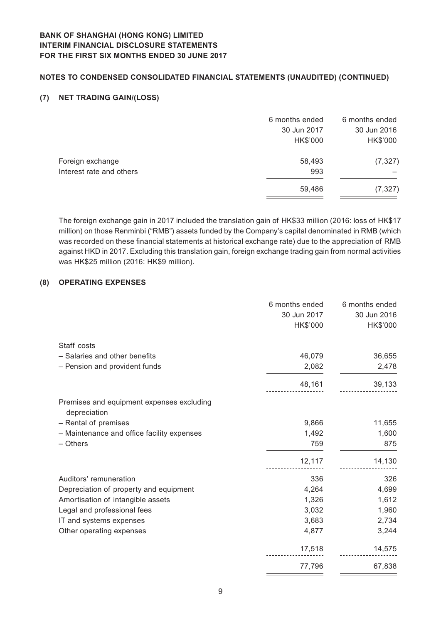## **Notes to Condensed Consolidated Financial Statements (Unaudited) (CONTINUED)**

## **(7) NET TRADING GAIN/(LOSS)**

|                          | 6 months ended | 6 months ended |
|--------------------------|----------------|----------------|
|                          | 30 Jun 2017    | 30 Jun 2016    |
|                          | HK\$'000       | HK\$'000       |
| Foreign exchange         | 58,493         | (7, 327)       |
| Interest rate and others | 993            |                |
|                          | 59,486         | (7, 327)       |
|                          |                |                |

The foreign exchange gain in 2017 included the translation gain of HK\$33 million (2016: loss of HK\$17 million) on those Renminbi ("RMB") assets funded by the Company's capital denominated in RMB (which was recorded on these financial statements at historical exchange rate) due to the appreciation of RMB against HKD in 2017. Excluding this translation gain, foreign exchange trading gain from normal activities was HK\$25 million (2016: HK\$9 million).

## **(8) OPERATING EXPENSES**

|                                                           | 6 months ended | 6 months ended |
|-----------------------------------------------------------|----------------|----------------|
|                                                           | 30 Jun 2017    | 30 Jun 2016    |
|                                                           | HK\$'000       | HK\$'000       |
| Staff costs                                               |                |                |
| - Salaries and other benefits                             | 46,079         | 36,655         |
| - Pension and provident funds                             | 2,082          | 2,478          |
|                                                           | 48,161         | 39,133         |
| Premises and equipment expenses excluding<br>depreciation |                |                |
| - Rental of premises                                      | 9,866          | 11,655         |
| - Maintenance and office facility expenses                | 1,492          | 1,600          |
| - Others                                                  | 759            | 875            |
|                                                           | 12,117         | 14,130         |
| Auditors' remuneration                                    | 336            | 326            |
| Depreciation of property and equipment                    | 4,264          | 4,699          |
| Amortisation of intangible assets                         | 1,326          | 1,612          |
| Legal and professional fees                               | 3,032          | 1,960          |
| IT and systems expenses                                   | 3,683          | 2,734          |
| Other operating expenses                                  | 4,877          | 3,244          |
|                                                           | 17,518         | 14,575         |
|                                                           | 77,796         | 67,838         |

<u> The Communication of the Communication of the Communication of the Communication of the Communication of the Co</u>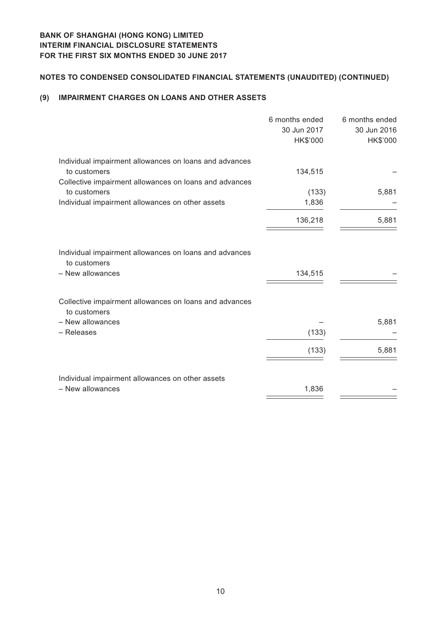# **Notes to Condensed Consolidated Financial Statements (Unaudited) (CONTINUED)**

## **(9) IMPAIRMENT CHARGES ON LOANS AND OTHER ASSETS**

|                                                                        | 6 months ended<br>30 Jun 2017<br>HK\$'000 | 6 months ended<br>30 Jun 2016<br>HK\$'000 |
|------------------------------------------------------------------------|-------------------------------------------|-------------------------------------------|
| Individual impairment allowances on loans and advances<br>to customers | 134,515                                   |                                           |
| Collective impairment allowances on loans and advances<br>to customers | (133)                                     | 5,881                                     |
| Individual impairment allowances on other assets                       | 1,836<br>136,218                          | 5,881                                     |
|                                                                        |                                           |                                           |
| Individual impairment allowances on loans and advances<br>to customers |                                           |                                           |
| - New allowances                                                       | 134,515                                   |                                           |
| Collective impairment allowances on loans and advances<br>to customers |                                           |                                           |
| - New allowances<br>- Releases                                         | (133)                                     | 5,881                                     |
|                                                                        | (133)                                     | 5,881                                     |
| Individual impairment allowances on other assets                       |                                           |                                           |
| - New allowances                                                       | 1,836                                     |                                           |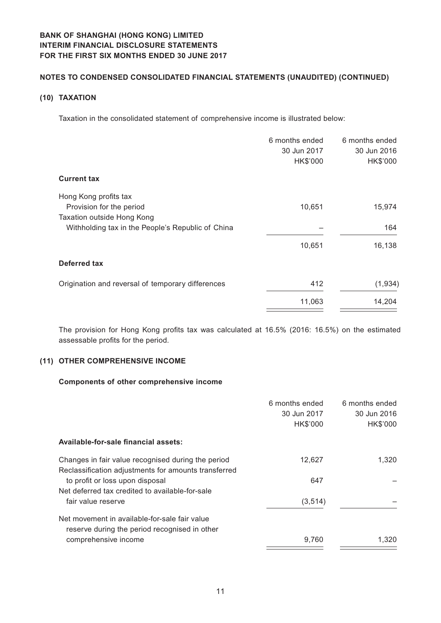## **Notes to Condensed Consolidated Financial Statements (Unaudited) (CONTINUED)**

## **(10) TAXATION**

Taxation in the consolidated statement of comprehensive income is illustrated below:

| 6 months ended<br>30 Jun 2017<br>HK\$'000 | 6 months ended<br>30 Jun 2016<br>HK\$'000 |
|-------------------------------------------|-------------------------------------------|
|                                           |                                           |
| 10,651                                    | 15,974                                    |
|                                           | 164                                       |
| 10,651                                    | 16,138                                    |
|                                           |                                           |
| 412                                       | (1,934)                                   |
| 11,063                                    | 14,204                                    |
|                                           |                                           |

The provision for Hong Kong profits tax was calculated at 16.5% (2016: 16.5%) on the estimated assessable profits for the period.

## **(11) OTHER COMPREHENSIVE INCOME**

## **Components of other comprehensive income**

|                                                                                                            | 6 months ended | 6 months ended |
|------------------------------------------------------------------------------------------------------------|----------------|----------------|
|                                                                                                            | 30 Jun 2017    | 30 Jun 2016    |
|                                                                                                            | HK\$'000       | HK\$'000       |
| Available-for-sale financial assets:                                                                       |                |                |
| Changes in fair value recognised during the period<br>Reclassification adjustments for amounts transferred | 12,627         | 1.320          |
| to profit or loss upon disposal                                                                            | 647            |                |
| Net deferred tax credited to available-for-sale                                                            |                |                |
| fair value reserve                                                                                         | (3, 514)       |                |
| Net movement in available-for-sale fair value                                                              |                |                |
| reserve during the period recognised in other                                                              |                |                |
| comprehensive income                                                                                       | 9,760          | 1.320          |
|                                                                                                            |                |                |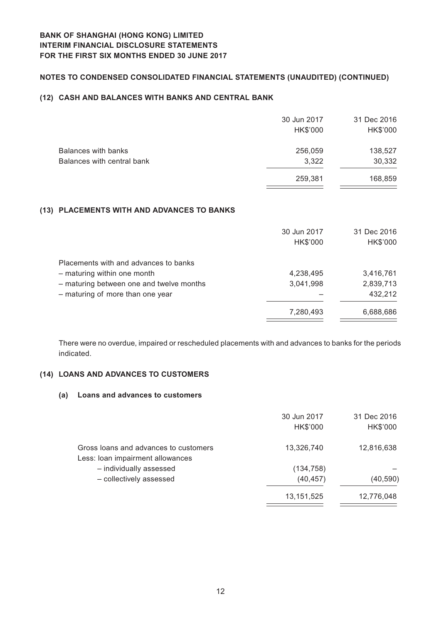## **Notes to Condensed Consolidated Financial Statements (Unaudited) (CONTINUED)**

## **(12) CASH AND BALANCES WITH BANKS AND CENTRAL BANK**

|                            | 30 Jun 2017 | 31 Dec 2016 |
|----------------------------|-------------|-------------|
|                            | HK\$'000    | HK\$'000    |
| Balances with banks        | 256,059     | 138,527     |
| Balances with central bank | 3,322       | 30,332      |
|                            | 259,381     | 168,859     |
|                            |             |             |

#### **(13) PLACEMENTS WITH AND ADVANCES TO BANKS**

|                                          | 30 Jun 2017<br>HK\$'000 | 31 Dec 2016<br>HK\$'000 |
|------------------------------------------|-------------------------|-------------------------|
| Placements with and advances to banks    |                         |                         |
| - maturing within one month              | 4,238,495               | 3,416,761               |
| - maturing between one and twelve months | 3,041,998               | 2,839,713               |
| - maturing of more than one year         |                         | 432,212                 |
|                                          | 7,280,493               | 6,688,686               |

There were no overdue, impaired or rescheduled placements with and advances to banks for the periods indicated.

## **(14) LOANS AND ADVANCES TO CUSTOMERS**

#### **(a) Loans and advances to customers**

|                                                                           | 30 Jun 2017  | 31 Dec 2016 |
|---------------------------------------------------------------------------|--------------|-------------|
|                                                                           | HK\$'000     | HK\$'000    |
| Gross loans and advances to customers<br>Less: loan impairment allowances | 13,326,740   | 12,816,638  |
| - individually assessed                                                   | (134, 758)   |             |
| - collectively assessed                                                   | (40, 457)    | (40, 590)   |
|                                                                           | 13, 151, 525 | 12,776,048  |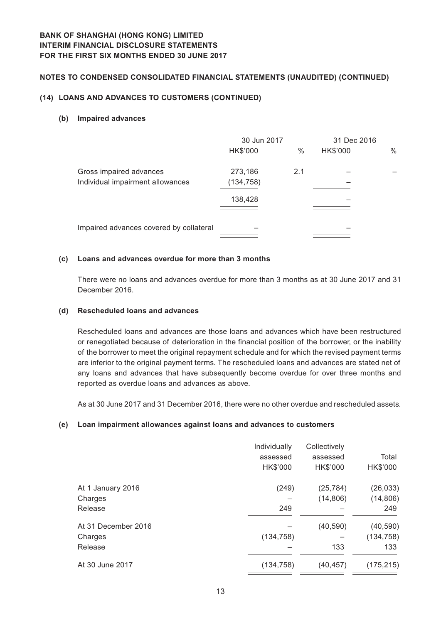## **Notes to Condensed Consolidated Financial Statements (Unaudited) (CONTINUED)**

## **(14) LOANS AND ADVANCES TO CUSTOMERS (CONTINUED)**

#### **(b) Impaired advances**

|                                         | 30 Jun 2017 |      | 31 Dec 2016 |      |
|-----------------------------------------|-------------|------|-------------|------|
|                                         | HK\$'000    | $\%$ | HK\$'000    | $\%$ |
| Gross impaired advances                 | 273,186     | 2.1  |             |      |
| Individual impairment allowances        | (134, 758)  |      |             |      |
|                                         | 138,428     |      |             |      |
|                                         |             |      |             |      |
| Impaired advances covered by collateral |             |      |             |      |

#### **(c) Loans and advances overdue for more than 3 months**

There were no loans and advances overdue for more than 3 months as at 30 June 2017 and 31 December 2016.

#### **(d) Rescheduled loans and advances**

Rescheduled loans and advances are those loans and advances which have been restructured or renegotiated because of deterioration in the financial position of the borrower, or the inability of the borrower to meet the original repayment schedule and for which the revised payment terms are inferior to the original payment terms. The rescheduled loans and advances are stated net of any loans and advances that have subsequently become overdue for over three months and reported as overdue loans and advances as above.

As at 30 June 2017 and 31 December 2016, there were no other overdue and rescheduled assets.

## **(e) Loan impairment allowances against loans and advances to customers**

|                     | Individually<br>assessed<br>HK\$'000 | Collectively<br>assessed<br>HK\$'000 | Total<br>HK\$'000 |
|---------------------|--------------------------------------|--------------------------------------|-------------------|
| At 1 January 2016   | (249)                                | (25, 784)                            | (26, 033)         |
| Charges             |                                      | (14, 806)                            | (14, 806)         |
| Release             | 249                                  |                                      | 249               |
| At 31 December 2016 |                                      | (40, 590)                            | (40, 590)         |
| Charges             | (134, 758)                           |                                      | (134, 758)        |
| Release             |                                      | 133                                  | 133               |
| At 30 June 2017     | (134, 758)                           | (40,457)                             | (175, 215)        |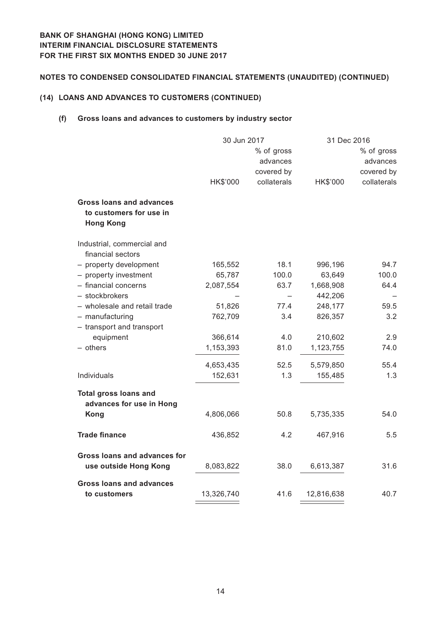# **Notes to Condensed Consolidated Financial Statements (Unaudited) (CONTINUED)**

## **(14) LOANS AND ADVANCES TO CUSTOMERS (CONTINUED)**

## **(f) Gross loans and advances to customers by industry sector**

| % of gross<br>advances<br>covered by<br>HK\$'000<br>collaterals<br>HK\$'000<br>Gross loans and advances<br>to customers for use in<br><b>Hong Kong</b><br>Industrial, commercial and<br>financial sectors<br>18.1<br>- property development<br>165,552<br>996,196<br>94.7<br>- property investment<br>65,787<br>100.0<br>63,649<br>100.0<br>- financial concerns<br>2,087,554<br>63.7<br>1,668,908<br>- stockbrokers<br>442,206<br>- wholesale and retail trade<br>77.4<br>248,177<br>51,826<br>- manufacturing<br>762,709<br>826,357<br>3.4<br>- transport and transport<br>equipment<br>366,614<br>4.0<br>210,602<br>1,153,393<br>$-$ others<br>81.0<br>1,123,755<br>52.5<br>4,653,435<br>5,579,850<br>Individuals<br>152,631<br>1.3<br>155,485<br><b>Total gross loans and</b><br>advances for use in Hong<br><b>Kong</b><br>4,806,066<br>50.8<br>5,735,335<br><b>Trade finance</b><br>4.2<br>467,916<br>436,852<br><b>Gross loans and advances for</b><br>use outside Hong Kong<br>8,083,822<br>38.0<br>6,613,387<br><b>Gross loans and advances</b><br>to customers<br>41.6<br>13,326,740<br>12,816,638 | 30 Jun 2017 |  | 31 Dec 2016 |                                                     |
|--------------------------------------------------------------------------------------------------------------------------------------------------------------------------------------------------------------------------------------------------------------------------------------------------------------------------------------------------------------------------------------------------------------------------------------------------------------------------------------------------------------------------------------------------------------------------------------------------------------------------------------------------------------------------------------------------------------------------------------------------------------------------------------------------------------------------------------------------------------------------------------------------------------------------------------------------------------------------------------------------------------------------------------------------------------------------------------------------------------|-------------|--|-------------|-----------------------------------------------------|
|                                                                                                                                                                                                                                                                                                                                                                                                                                                                                                                                                                                                                                                                                                                                                                                                                                                                                                                                                                                                                                                                                                              |             |  |             | % of gross<br>advances<br>covered by<br>collaterals |
|                                                                                                                                                                                                                                                                                                                                                                                                                                                                                                                                                                                                                                                                                                                                                                                                                                                                                                                                                                                                                                                                                                              |             |  |             |                                                     |
|                                                                                                                                                                                                                                                                                                                                                                                                                                                                                                                                                                                                                                                                                                                                                                                                                                                                                                                                                                                                                                                                                                              |             |  |             |                                                     |
|                                                                                                                                                                                                                                                                                                                                                                                                                                                                                                                                                                                                                                                                                                                                                                                                                                                                                                                                                                                                                                                                                                              |             |  |             |                                                     |
|                                                                                                                                                                                                                                                                                                                                                                                                                                                                                                                                                                                                                                                                                                                                                                                                                                                                                                                                                                                                                                                                                                              |             |  |             |                                                     |
|                                                                                                                                                                                                                                                                                                                                                                                                                                                                                                                                                                                                                                                                                                                                                                                                                                                                                                                                                                                                                                                                                                              |             |  |             | 64.4                                                |
|                                                                                                                                                                                                                                                                                                                                                                                                                                                                                                                                                                                                                                                                                                                                                                                                                                                                                                                                                                                                                                                                                                              |             |  |             |                                                     |
|                                                                                                                                                                                                                                                                                                                                                                                                                                                                                                                                                                                                                                                                                                                                                                                                                                                                                                                                                                                                                                                                                                              |             |  |             | 59.5                                                |
|                                                                                                                                                                                                                                                                                                                                                                                                                                                                                                                                                                                                                                                                                                                                                                                                                                                                                                                                                                                                                                                                                                              |             |  |             | 3.2                                                 |
|                                                                                                                                                                                                                                                                                                                                                                                                                                                                                                                                                                                                                                                                                                                                                                                                                                                                                                                                                                                                                                                                                                              |             |  |             |                                                     |
|                                                                                                                                                                                                                                                                                                                                                                                                                                                                                                                                                                                                                                                                                                                                                                                                                                                                                                                                                                                                                                                                                                              |             |  |             | 2.9                                                 |
|                                                                                                                                                                                                                                                                                                                                                                                                                                                                                                                                                                                                                                                                                                                                                                                                                                                                                                                                                                                                                                                                                                              |             |  |             | 74.0                                                |
|                                                                                                                                                                                                                                                                                                                                                                                                                                                                                                                                                                                                                                                                                                                                                                                                                                                                                                                                                                                                                                                                                                              |             |  |             | 55.4                                                |
|                                                                                                                                                                                                                                                                                                                                                                                                                                                                                                                                                                                                                                                                                                                                                                                                                                                                                                                                                                                                                                                                                                              |             |  |             | 1.3                                                 |
|                                                                                                                                                                                                                                                                                                                                                                                                                                                                                                                                                                                                                                                                                                                                                                                                                                                                                                                                                                                                                                                                                                              |             |  |             |                                                     |
|                                                                                                                                                                                                                                                                                                                                                                                                                                                                                                                                                                                                                                                                                                                                                                                                                                                                                                                                                                                                                                                                                                              |             |  |             | 54.0                                                |
|                                                                                                                                                                                                                                                                                                                                                                                                                                                                                                                                                                                                                                                                                                                                                                                                                                                                                                                                                                                                                                                                                                              |             |  |             | 5.5                                                 |
|                                                                                                                                                                                                                                                                                                                                                                                                                                                                                                                                                                                                                                                                                                                                                                                                                                                                                                                                                                                                                                                                                                              |             |  |             |                                                     |
|                                                                                                                                                                                                                                                                                                                                                                                                                                                                                                                                                                                                                                                                                                                                                                                                                                                                                                                                                                                                                                                                                                              |             |  |             | 31.6                                                |
|                                                                                                                                                                                                                                                                                                                                                                                                                                                                                                                                                                                                                                                                                                                                                                                                                                                                                                                                                                                                                                                                                                              |             |  |             |                                                     |
|                                                                                                                                                                                                                                                                                                                                                                                                                                                                                                                                                                                                                                                                                                                                                                                                                                                                                                                                                                                                                                                                                                              |             |  |             | 40.7                                                |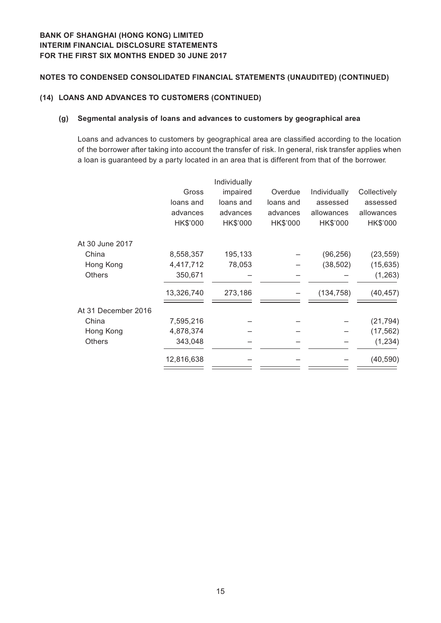## **Notes to Condensed Consolidated Financial Statements (Unaudited) (CONTINUED)**

## **(14) LOANS AND ADVANCES TO CUSTOMERS (CONTINUED)**

#### **(g) Segmental analysis of loans and advances to customers by geographical area**

Loans and advances to customers by geographical area are classified according to the location of the borrower after taking into account the transfer of risk. In general, risk transfer applies when a loan is guaranteed by a party located in an area that is different from that of the borrower.

|                     |            | Individually |           |              |              |
|---------------------|------------|--------------|-----------|--------------|--------------|
|                     | Gross      | impaired     | Overdue   | Individually | Collectively |
|                     | loans and  | loans and    | loans and | assessed     | assessed     |
|                     | advances   | advances     | advances  | allowances   | allowances   |
|                     | HK\$'000   | HK\$'000     | HK\$'000  | HK\$'000     | HK\$'000     |
| At 30 June 2017     |            |              |           |              |              |
| China               | 8,558,357  | 195,133      |           | (96, 256)    | (23, 559)    |
| Hong Kong           | 4,417,712  | 78,053       |           | (38, 502)    | (15, 635)    |
| <b>Others</b>       | 350,671    |              |           |              | (1, 263)     |
|                     | 13,326,740 | 273,186      |           | (134, 758)   | (40, 457)    |
| At 31 December 2016 |            |              |           |              |              |
| China               | 7,595,216  |              |           |              | (21, 794)    |
| Hong Kong           | 4,878,374  |              |           |              | (17, 562)    |
| <b>Others</b>       | 343,048    |              |           |              | (1, 234)     |
|                     | 12,816,638 |              |           |              | (40, 590)    |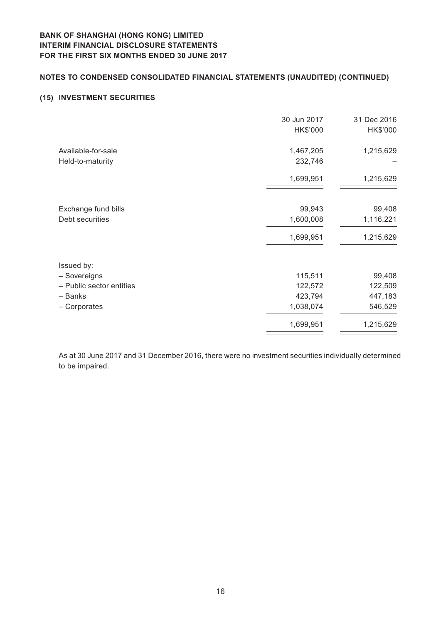## **Notes to Condensed Consolidated Financial Statements (Unaudited) (CONTINUED)**

#### **(15) INVESTMENT SECURITIES**

|                          | 30 Jun 2017 | 31 Dec 2016 |
|--------------------------|-------------|-------------|
|                          | HK\$'000    | HK\$'000    |
| Available-for-sale       | 1,467,205   | 1,215,629   |
| Held-to-maturity         | 232,746     |             |
|                          | 1,699,951   | 1,215,629   |
| Exchange fund bills      | 99,943      | 99,408      |
| Debt securities          | 1,600,008   | 1,116,221   |
|                          | 1,699,951   | 1,215,629   |
| Issued by:               |             |             |
| - Sovereigns             | 115,511     | 99,408      |
| - Public sector entities | 122,572     | 122,509     |
| – Banks                  | 423,794     | 447,183     |
| - Corporates             | 1,038,074   | 546,529     |
|                          | 1,699,951   | 1,215,629   |
|                          |             |             |

As at 30 June 2017 and 31 December 2016, there were no investment securities individually determined to be impaired.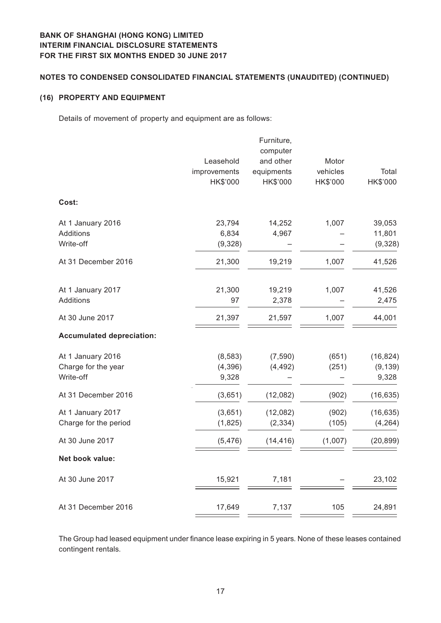## **Notes to Condensed Consolidated Financial Statements (Unaudited) (CONTINUED)**

## **(16) PROPERTY AND EQUIPMENT**

Details of movement of property and equipment are as follows:

|                                                       | Leasehold<br>improvements<br>HK\$'000 | Furniture,<br>computer<br>and other<br>equipments<br>HK\$'000 | Motor<br>vehicles<br>HK\$'000 | Total<br>HK\$'000              |
|-------------------------------------------------------|---------------------------------------|---------------------------------------------------------------|-------------------------------|--------------------------------|
| Cost:                                                 |                                       |                                                               |                               |                                |
| At 1 January 2016<br>Additions<br>Write-off           | 23,794<br>6,834<br>(9,328)            | 14,252<br>4,967                                               | 1,007                         | 39,053<br>11,801<br>(9, 328)   |
| At 31 December 2016                                   | 21,300                                | 19,219                                                        | 1,007                         | 41,526                         |
| At 1 January 2017<br><b>Additions</b>                 | 21,300<br>97                          | 19,219<br>2,378                                               | 1,007                         | 41,526<br>2,475                |
| At 30 June 2017                                       | 21,397                                | 21,597                                                        | 1,007                         | 44,001                         |
| <b>Accumulated depreciation:</b>                      |                                       |                                                               |                               |                                |
| At 1 January 2016<br>Charge for the year<br>Write-off | (8, 583)<br>(4, 396)<br>9,328         | (7, 590)<br>(4, 492)                                          | (651)<br>(251)                | (16, 824)<br>(9, 139)<br>9,328 |
| At 31 December 2016                                   | (3,651)                               | (12,082)                                                      | (902)                         | (16, 635)                      |
| At 1 January 2017<br>Charge for the period            | (3,651)<br>(1,825)                    | (12,082)<br>(2, 334)                                          | (902)<br>(105)                | (16, 635)<br>(4, 264)          |
| At 30 June 2017                                       | (5, 476)                              | (14, 416)                                                     | (1,007)                       | (20, 899)                      |
| Net book value:                                       |                                       |                                                               |                               |                                |
| At 30 June 2017                                       | 15,921                                | 7,181                                                         |                               | 23,102                         |
| At 31 December 2016                                   | 17,649                                | 7,137                                                         | 105                           | 24,891                         |

The Group had leased equipment under finance lease expiring in 5 years. None of these leases contained contingent rentals.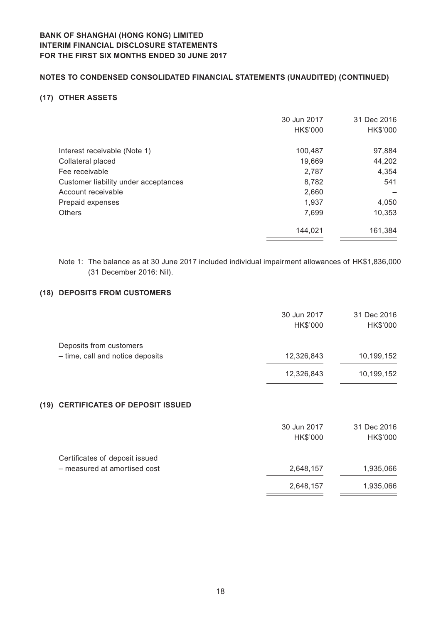# **Notes to Condensed Consolidated Financial Statements (Unaudited) (CONTINUED)**

## **(17) OTHER ASSETS**

|                                      | 30 Jun 2017<br>HK\$'000 | 31 Dec 2016<br>HK\$'000 |
|--------------------------------------|-------------------------|-------------------------|
| Interest receivable (Note 1)         | 100,487                 | 97,884                  |
| Collateral placed                    | 19,669                  | 44,202                  |
| Fee receivable                       | 2,787                   | 4,354                   |
| Customer liability under acceptances | 8,782                   | 541                     |
| Account receivable                   | 2,660                   |                         |
| Prepaid expenses                     | 1,937                   | 4,050                   |
| <b>Others</b>                        | 7,699                   | 10,353                  |
|                                      | 144.021                 | 161,384                 |

Note 1: The balance as at 30 June 2017 included individual impairment allowances of HK\$1,836,000 (31 December 2016: Nil).

#### **(18) DEPOSITS FROM CUSTOMERS**

| 10,199,152               |
|--------------------------|
| 10,199,152               |
| 12,326,843<br>12,326,843 |

### **(19) CERTIFICATES OF DEPOSIT ISSUED**

|                                                                | 30 Jun 2017<br>HK\$'000 | 31 Dec 2016<br>HK\$'000 |
|----------------------------------------------------------------|-------------------------|-------------------------|
| Certificates of deposit issued<br>- measured at amortised cost | 2,648,157               | 1,935,066               |
|                                                                | 2,648,157               | 1,935,066               |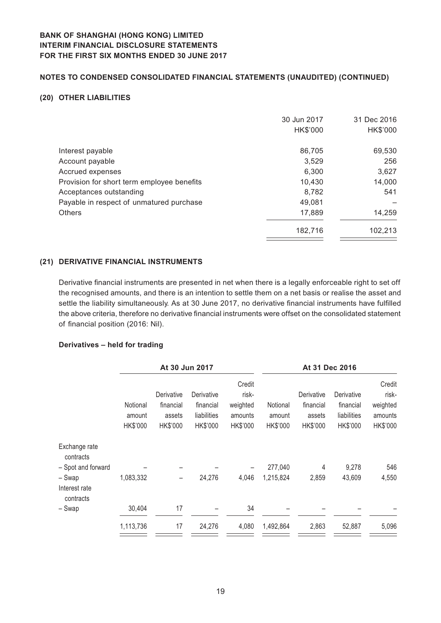## **Notes to Condensed Consolidated Financial Statements (Unaudited) (CONTINUED)**

## **(20) OTHER LIABILITIES**

|                                            | 30 Jun 2017<br>HK\$'000 | 31 Dec 2016<br>HK\$'000 |
|--------------------------------------------|-------------------------|-------------------------|
| Interest payable                           | 86.705                  | 69,530                  |
| Account payable                            | 3,529                   | 256                     |
| Accrued expenses                           | 6,300                   | 3,627                   |
| Provision for short term employee benefits | 10,430                  | 14,000                  |
| Acceptances outstanding                    | 8,782                   | 541                     |
| Payable in respect of unmatured purchase   | 49,081                  |                         |
| <b>Others</b>                              | 17,889                  | 14,259                  |
|                                            | 182,716                 | 102,213                 |

#### **(21) DERIVATIVE FINANCIAL INSTRUMENTS**

Derivative financial instruments are presented in net when there is a legally enforceable right to set off the recognised amounts, and there is an intention to settle them on a net basis or realise the asset and settle the liability simultaneously. As at 30 June 2017, no derivative financial instruments have fulfilled the above criteria, therefore no derivative financial instruments were offset on the consolidated statement of financial position (2016: Nil).

#### **Derivatives – held for trading**

|                                      | At 30 Jun 2017                 |                                               |                                                    |                                                    |                                | At 31 Dec 2016                                |                                                    |                                                    |  |
|--------------------------------------|--------------------------------|-----------------------------------------------|----------------------------------------------------|----------------------------------------------------|--------------------------------|-----------------------------------------------|----------------------------------------------------|----------------------------------------------------|--|
|                                      | Notional<br>amount<br>HK\$'000 | Derivative<br>financial<br>assets<br>HK\$'000 | Derivative<br>financial<br>liabilities<br>HK\$'000 | Credit<br>risk-<br>weighted<br>amounts<br>HK\$'000 | Notional<br>amount<br>HK\$'000 | Derivative<br>financial<br>assets<br>HK\$'000 | Derivative<br>financial<br>liabilities<br>HK\$'000 | Credit<br>risk-<br>weighted<br>amounts<br>HK\$'000 |  |
| Exchange rate<br>contracts           |                                |                                               |                                                    |                                                    |                                |                                               |                                                    |                                                    |  |
| - Spot and forward                   |                                |                                               |                                                    |                                                    | 277,040                        | 4                                             | 9,278                                              | 546                                                |  |
| – Swap<br>Interest rate<br>contracts | 1,083,332                      |                                               | 24,276                                             | 4,046                                              | 1,215,824                      | 2,859                                         | 43,609                                             | 4,550                                              |  |
| - Swap                               | 30,404                         | 17                                            |                                                    | 34                                                 |                                |                                               |                                                    |                                                    |  |
|                                      | 1,113,736                      | 17                                            | 24,276                                             | 4,080                                              | 1,492,864                      | 2,863                                         | 52,887                                             | 5,096                                              |  |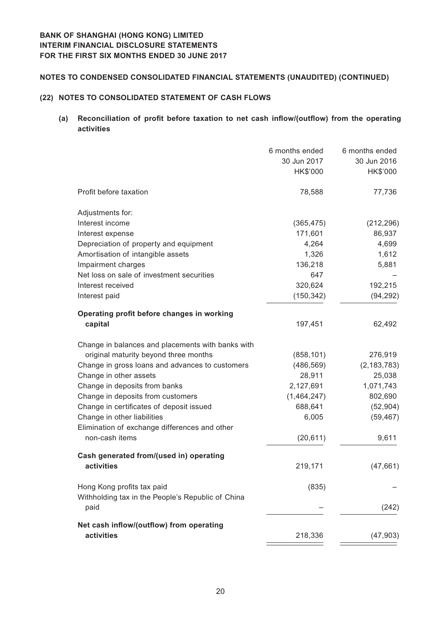## **Notes to Condensed Consolidated Financial Statements (Unaudited) (CONTINUED)**

## **(22) NOTES TO CONSOLIDATED STATEMENT OF CASH FLOWS**

# **(a) Reconciliation of profit before taxation to net cash inflow/(outflow) from the operating activities**

| HK\$'000<br>HK\$'000<br>Profit before taxation<br>78,588<br>77,736<br>Adjustments for:<br>Interest income<br>(212, 296)<br>(365, 475)<br>86,937<br>171,601<br>Interest expense<br>Depreciation of property and equipment<br>4,264<br>4,699<br>1,612<br>Amortisation of intangible assets<br>1,326<br>136,218<br>Impairment charges<br>5,881<br>Net loss on sale of investment securities<br>647<br>192,215<br>Interest received<br>320,624<br>(150, 342)<br>(94, 292)<br>Interest paid<br>Operating profit before changes in working<br>capital<br>197,451<br>62,492<br>Change in balances and placements with banks with<br>original maturity beyond three months<br>(858, 101)<br>276,919<br>Change in gross loans and advances to customers<br>(486, 569)<br>(2, 183, 783)<br>28,911<br>25,038<br>Change in other assets<br>2,127,691<br>Change in deposits from banks<br>1,071,743<br>802,690<br>Change in deposits from customers<br>(1,464,247)<br>688,641<br>Change in certificates of deposit issued<br>(52, 904)<br>Change in other liabilities<br>6,005<br>(59, 467)<br>Elimination of exchange differences and other<br>non-cash items<br>(20, 611)<br>9,611<br>Cash generated from/(used in) operating<br>activities<br>219,171<br>(47,661)<br>Hong Kong profits tax paid<br>(835)<br>Withholding tax in the People's Republic of China<br>paid<br>(242)<br>Net cash inflow/(outflow) from operating<br>activities<br>218,336<br>(47, 903) | 6 months ended<br>30 Jun 2017 | 6 months ended<br>30 Jun 2016 |
|--------------------------------------------------------------------------------------------------------------------------------------------------------------------------------------------------------------------------------------------------------------------------------------------------------------------------------------------------------------------------------------------------------------------------------------------------------------------------------------------------------------------------------------------------------------------------------------------------------------------------------------------------------------------------------------------------------------------------------------------------------------------------------------------------------------------------------------------------------------------------------------------------------------------------------------------------------------------------------------------------------------------------------------------------------------------------------------------------------------------------------------------------------------------------------------------------------------------------------------------------------------------------------------------------------------------------------------------------------------------------------------------------------------------------------------------------------|-------------------------------|-------------------------------|
|                                                                                                                                                                                                                                                                                                                                                                                                                                                                                                                                                                                                                                                                                                                                                                                                                                                                                                                                                                                                                                                                                                                                                                                                                                                                                                                                                                                                                                                        |                               |                               |
|                                                                                                                                                                                                                                                                                                                                                                                                                                                                                                                                                                                                                                                                                                                                                                                                                                                                                                                                                                                                                                                                                                                                                                                                                                                                                                                                                                                                                                                        |                               |                               |
|                                                                                                                                                                                                                                                                                                                                                                                                                                                                                                                                                                                                                                                                                                                                                                                                                                                                                                                                                                                                                                                                                                                                                                                                                                                                                                                                                                                                                                                        |                               |                               |
|                                                                                                                                                                                                                                                                                                                                                                                                                                                                                                                                                                                                                                                                                                                                                                                                                                                                                                                                                                                                                                                                                                                                                                                                                                                                                                                                                                                                                                                        |                               |                               |
|                                                                                                                                                                                                                                                                                                                                                                                                                                                                                                                                                                                                                                                                                                                                                                                                                                                                                                                                                                                                                                                                                                                                                                                                                                                                                                                                                                                                                                                        |                               |                               |
|                                                                                                                                                                                                                                                                                                                                                                                                                                                                                                                                                                                                                                                                                                                                                                                                                                                                                                                                                                                                                                                                                                                                                                                                                                                                                                                                                                                                                                                        |                               |                               |
|                                                                                                                                                                                                                                                                                                                                                                                                                                                                                                                                                                                                                                                                                                                                                                                                                                                                                                                                                                                                                                                                                                                                                                                                                                                                                                                                                                                                                                                        |                               |                               |
|                                                                                                                                                                                                                                                                                                                                                                                                                                                                                                                                                                                                                                                                                                                                                                                                                                                                                                                                                                                                                                                                                                                                                                                                                                                                                                                                                                                                                                                        |                               |                               |
|                                                                                                                                                                                                                                                                                                                                                                                                                                                                                                                                                                                                                                                                                                                                                                                                                                                                                                                                                                                                                                                                                                                                                                                                                                                                                                                                                                                                                                                        |                               |                               |
|                                                                                                                                                                                                                                                                                                                                                                                                                                                                                                                                                                                                                                                                                                                                                                                                                                                                                                                                                                                                                                                                                                                                                                                                                                                                                                                                                                                                                                                        |                               |                               |
|                                                                                                                                                                                                                                                                                                                                                                                                                                                                                                                                                                                                                                                                                                                                                                                                                                                                                                                                                                                                                                                                                                                                                                                                                                                                                                                                                                                                                                                        |                               |                               |
|                                                                                                                                                                                                                                                                                                                                                                                                                                                                                                                                                                                                                                                                                                                                                                                                                                                                                                                                                                                                                                                                                                                                                                                                                                                                                                                                                                                                                                                        |                               |                               |
|                                                                                                                                                                                                                                                                                                                                                                                                                                                                                                                                                                                                                                                                                                                                                                                                                                                                                                                                                                                                                                                                                                                                                                                                                                                                                                                                                                                                                                                        |                               |                               |
|                                                                                                                                                                                                                                                                                                                                                                                                                                                                                                                                                                                                                                                                                                                                                                                                                                                                                                                                                                                                                                                                                                                                                                                                                                                                                                                                                                                                                                                        |                               |                               |
|                                                                                                                                                                                                                                                                                                                                                                                                                                                                                                                                                                                                                                                                                                                                                                                                                                                                                                                                                                                                                                                                                                                                                                                                                                                                                                                                                                                                                                                        |                               |                               |
|                                                                                                                                                                                                                                                                                                                                                                                                                                                                                                                                                                                                                                                                                                                                                                                                                                                                                                                                                                                                                                                                                                                                                                                                                                                                                                                                                                                                                                                        |                               |                               |
|                                                                                                                                                                                                                                                                                                                                                                                                                                                                                                                                                                                                                                                                                                                                                                                                                                                                                                                                                                                                                                                                                                                                                                                                                                                                                                                                                                                                                                                        |                               |                               |
|                                                                                                                                                                                                                                                                                                                                                                                                                                                                                                                                                                                                                                                                                                                                                                                                                                                                                                                                                                                                                                                                                                                                                                                                                                                                                                                                                                                                                                                        |                               |                               |
|                                                                                                                                                                                                                                                                                                                                                                                                                                                                                                                                                                                                                                                                                                                                                                                                                                                                                                                                                                                                                                                                                                                                                                                                                                                                                                                                                                                                                                                        |                               |                               |
|                                                                                                                                                                                                                                                                                                                                                                                                                                                                                                                                                                                                                                                                                                                                                                                                                                                                                                                                                                                                                                                                                                                                                                                                                                                                                                                                                                                                                                                        |                               |                               |
|                                                                                                                                                                                                                                                                                                                                                                                                                                                                                                                                                                                                                                                                                                                                                                                                                                                                                                                                                                                                                                                                                                                                                                                                                                                                                                                                                                                                                                                        |                               |                               |
|                                                                                                                                                                                                                                                                                                                                                                                                                                                                                                                                                                                                                                                                                                                                                                                                                                                                                                                                                                                                                                                                                                                                                                                                                                                                                                                                                                                                                                                        |                               |                               |
|                                                                                                                                                                                                                                                                                                                                                                                                                                                                                                                                                                                                                                                                                                                                                                                                                                                                                                                                                                                                                                                                                                                                                                                                                                                                                                                                                                                                                                                        |                               |                               |
|                                                                                                                                                                                                                                                                                                                                                                                                                                                                                                                                                                                                                                                                                                                                                                                                                                                                                                                                                                                                                                                                                                                                                                                                                                                                                                                                                                                                                                                        |                               |                               |
|                                                                                                                                                                                                                                                                                                                                                                                                                                                                                                                                                                                                                                                                                                                                                                                                                                                                                                                                                                                                                                                                                                                                                                                                                                                                                                                                                                                                                                                        |                               |                               |
|                                                                                                                                                                                                                                                                                                                                                                                                                                                                                                                                                                                                                                                                                                                                                                                                                                                                                                                                                                                                                                                                                                                                                                                                                                                                                                                                                                                                                                                        |                               |                               |
|                                                                                                                                                                                                                                                                                                                                                                                                                                                                                                                                                                                                                                                                                                                                                                                                                                                                                                                                                                                                                                                                                                                                                                                                                                                                                                                                                                                                                                                        |                               |                               |
|                                                                                                                                                                                                                                                                                                                                                                                                                                                                                                                                                                                                                                                                                                                                                                                                                                                                                                                                                                                                                                                                                                                                                                                                                                                                                                                                                                                                                                                        |                               |                               |
|                                                                                                                                                                                                                                                                                                                                                                                                                                                                                                                                                                                                                                                                                                                                                                                                                                                                                                                                                                                                                                                                                                                                                                                                                                                                                                                                                                                                                                                        |                               |                               |
|                                                                                                                                                                                                                                                                                                                                                                                                                                                                                                                                                                                                                                                                                                                                                                                                                                                                                                                                                                                                                                                                                                                                                                                                                                                                                                                                                                                                                                                        |                               |                               |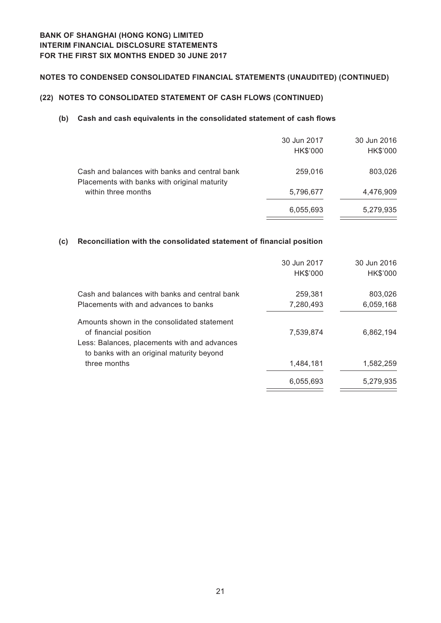# **Notes to Condensed Consolidated Financial Statements (Unaudited) (CONTINUED)**

## **(22) NOTES TO CONSOLIDATED STATEMENT OF CASH FLOWS (CONTINUED)**

## **(b) Cash and cash equivalents in the consolidated statement of cash flows**

|                                                                                               | 30 Jun 2017 | 30 Jun 2016 |
|-----------------------------------------------------------------------------------------------|-------------|-------------|
|                                                                                               | HK\$'000    | HK\$'000    |
| Cash and balances with banks and central bank<br>Placements with banks with original maturity | 259,016     | 803,026     |
| within three months                                                                           | 5,796,677   | 4,476,909   |
|                                                                                               | 6,055,693   | 5,279,935   |

#### **(c) Reconciliation with the consolidated statement of financial position**

|                                                                                           | 30 Jun 2017 | 30 Jun 2016 |
|-------------------------------------------------------------------------------------------|-------------|-------------|
|                                                                                           | HK\$'000    | HK\$'000    |
| Cash and balances with banks and central bank                                             | 259,381     | 803,026     |
| Placements with and advances to banks                                                     | 7,280,493   | 6,059,168   |
| Amounts shown in the consolidated statement                                               |             |             |
| of financial position                                                                     | 7.539.874   | 6.862.194   |
| Less: Balances, placements with and advances<br>to banks with an original maturity beyond |             |             |
| three months                                                                              | 1,484,181   | 1,582,259   |
|                                                                                           | 6,055,693   | 5,279,935   |
|                                                                                           |             |             |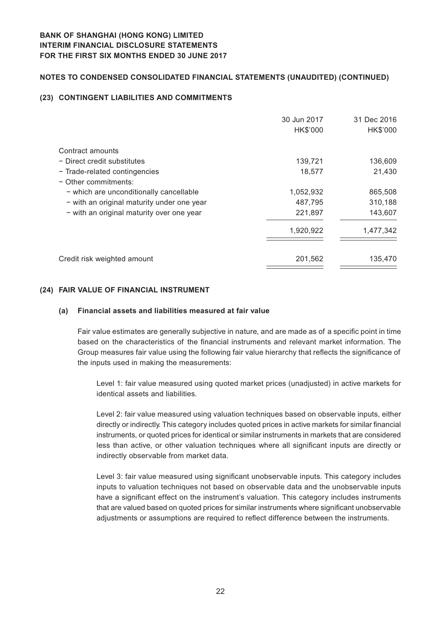## **Notes to Condensed Consolidated Financial Statements (Unaudited) (CONTINUED)**

## **(23) CONTINGENT LIABILITIES AND COMMITMENTS**

|                                            | 30 Jun 2017<br>HK\$'000 | 31 Dec 2016<br>HK\$'000 |
|--------------------------------------------|-------------------------|-------------------------|
| Contract amounts                           |                         |                         |
| - Direct credit substitutes                | 139,721                 | 136,609                 |
| - Trade-related contingencies              | 18,577                  | 21,430                  |
| - Other commitments:                       |                         |                         |
| - which are unconditionally cancellable    | 1,052,932               | 865,508                 |
| - with an original maturity under one year | 487,795                 | 310,188                 |
| - with an original maturity over one year  | 221,897                 | 143,607                 |
|                                            | 1,920,922               | 1,477,342               |
| Credit risk weighted amount                | 201,562                 | 135,470                 |

#### **(24) FAIR VALUE OF FINANCIAL INSTRUMENT**

#### **(a) Financial assets and liabilities measured at fair value**

Fair value estimates are generally subjective in nature, and are made as of a specific point in time based on the characteristics of the financial instruments and relevant market information. The Group measures fair value using the following fair value hierarchy that reflects the significance of the inputs used in making the measurements:

Level 1: fair value measured using quoted market prices (unadjusted) in active markets for identical assets and liabilities.

Level 2: fair value measured using valuation techniques based on observable inputs, either directly or indirectly. This category includes quoted prices in active markets for similar financial instruments, or quoted prices for identical or similar instruments in markets that are considered less than active, or other valuation techniques where all significant inputs are directly or indirectly observable from market data.

Level 3: fair value measured using significant unobservable inputs. This category includes inputs to valuation techniques not based on observable data and the unobservable inputs have a significant effect on the instrument's valuation. This category includes instruments that are valued based on quoted prices for similar instruments where significant unobservable adjustments or assumptions are required to reflect difference between the instruments.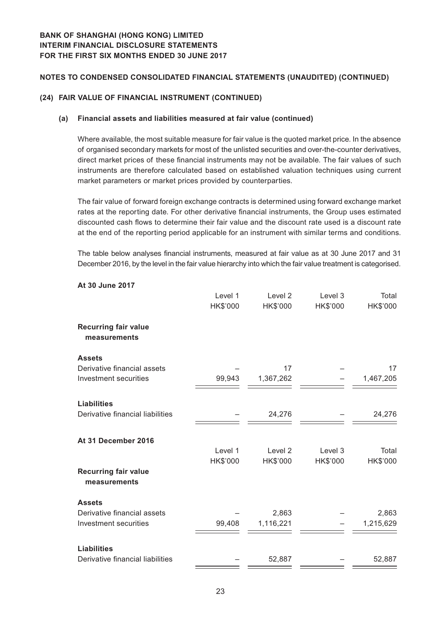**At 30 June 2017**

## **Notes to Condensed Consolidated Financial Statements (Unaudited) (CONTINUED)**

## **(24) FAIR VALUE OF FINANCIAL INSTRUMENT (CONTINUED)**

#### **(a) Financial assets and liabilities measured at fair value (continued)**

Where available, the most suitable measure for fair value is the quoted market price. In the absence of organised secondary markets for most of the unlisted securities and over-the-counter derivatives, direct market prices of these financial instruments may not be available. The fair values of such instruments are therefore calculated based on established valuation techniques using current market parameters or market prices provided by counterparties.

The fair value of forward foreign exchange contracts is determined using forward exchange market rates at the reporting date. For other derivative financial instruments, the Group uses estimated discounted cash flows to determine their fair value and the discount rate used is a discount rate at the end of the reporting period applicable for an instrument with similar terms and conditions.

The table below analyses financial instruments, measured at fair value as at 30 June 2017 and 31 December 2016, by the level in the fair value hierarchy into which the fair value treatment is categorised.

|                                             | Level 1<br>HK\$'000 | Level 2<br>HK\$'000 | Level 3<br>HK\$'000 | Total<br>HK\$'000 |
|---------------------------------------------|---------------------|---------------------|---------------------|-------------------|
| <b>Recurring fair value</b><br>measurements |                     |                     |                     |                   |
| <b>Assets</b>                               |                     |                     |                     |                   |
| Derivative financial assets                 |                     | 17                  |                     | 17                |
| Investment securities                       | 99,943              | 1,367,262           |                     | 1,467,205         |
| <b>Liabilities</b>                          |                     |                     |                     |                   |
| Derivative financial liabilities            |                     | 24,276              |                     | 24,276            |
| At 31 December 2016                         |                     |                     |                     |                   |
|                                             | Level 1             | Level <sub>2</sub>  | Level 3             | Total             |
|                                             | HK\$'000            | HK\$'000            | HK\$'000            | HK\$'000          |
| <b>Recurring fair value</b><br>measurements |                     |                     |                     |                   |
| <b>Assets</b>                               |                     |                     |                     |                   |
| Derivative financial assets                 |                     | 2,863               |                     | 2,863             |
| Investment securities                       | 99,408              | 1,116,221           |                     | 1,215,629         |
| <b>Liabilities</b>                          |                     |                     |                     |                   |
| Derivative financial liabilities            |                     | 52,887              |                     | 52,887            |

23